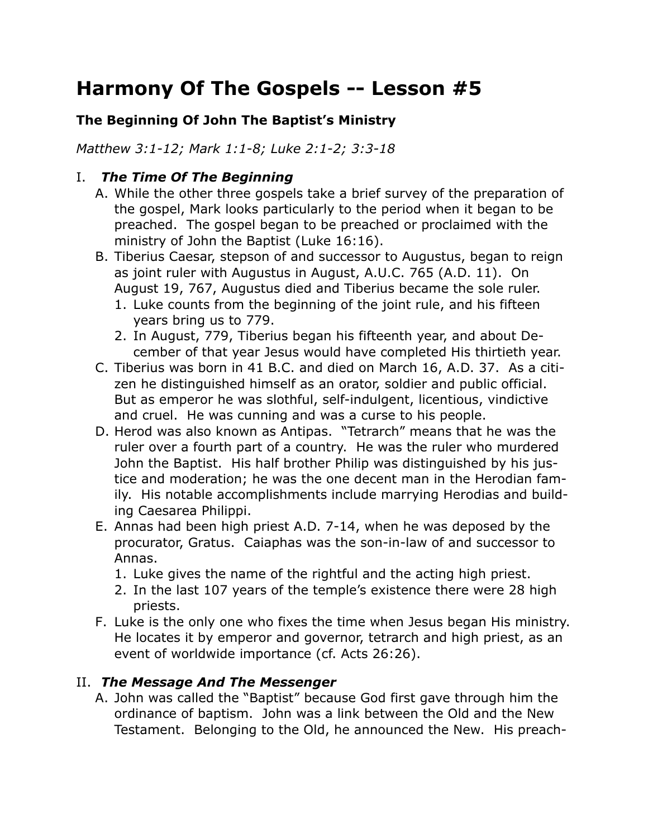# **Harmony Of The Gospels -- Lesson #5**

### **The Beginning Of John The Baptist's Ministry**

*Matthew 3:1-12; Mark 1:1-8; Luke 2:1-2; 3:3-18*

#### I. *The Time Of The Beginning*

- A. While the other three gospels take a brief survey of the preparation of the gospel, Mark looks particularly to the period when it began to be preached. The gospel began to be preached or proclaimed with the ministry of John the Baptist (Luke 16:16).
- B. Tiberius Caesar, stepson of and successor to Augustus, began to reign as joint ruler with Augustus in August, A.U.C. 765 (A.D. 11). On August 19, 767, Augustus died and Tiberius became the sole ruler.
	- 1. Luke counts from the beginning of the joint rule, and his fifteen years bring us to 779.
	- 2. In August, 779, Tiberius began his fifteenth year, and about December of that year Jesus would have completed His thirtieth year.
- C. Tiberius was born in 41 B.C. and died on March 16, A.D. 37. As a citizen he distinguished himself as an orator, soldier and public official. But as emperor he was slothful, self-indulgent, licentious, vindictive and cruel. He was cunning and was a curse to his people.
- D. Herod was also known as Antipas. "Tetrarch" means that he was the ruler over a fourth part of a country. He was the ruler who murdered John the Baptist. His half brother Philip was distinguished by his justice and moderation; he was the one decent man in the Herodian family. His notable accomplishments include marrying Herodias and building Caesarea Philippi.
- E. Annas had been high priest A.D. 7-14, when he was deposed by the procurator, Gratus. Caiaphas was the son-in-law of and successor to Annas.
	- 1. Luke gives the name of the rightful and the acting high priest.
	- 2. In the last 107 years of the temple's existence there were 28 high priests.
- F. Luke is the only one who fixes the time when Jesus began His ministry. He locates it by emperor and governor, tetrarch and high priest, as an event of worldwide importance (cf. Acts 26:26).

# II. *The Message And The Messenger*

A. John was called the "Baptist" because God first gave through him the ordinance of baptism. John was a link between the Old and the New Testament. Belonging to the Old, he announced the New. His preach-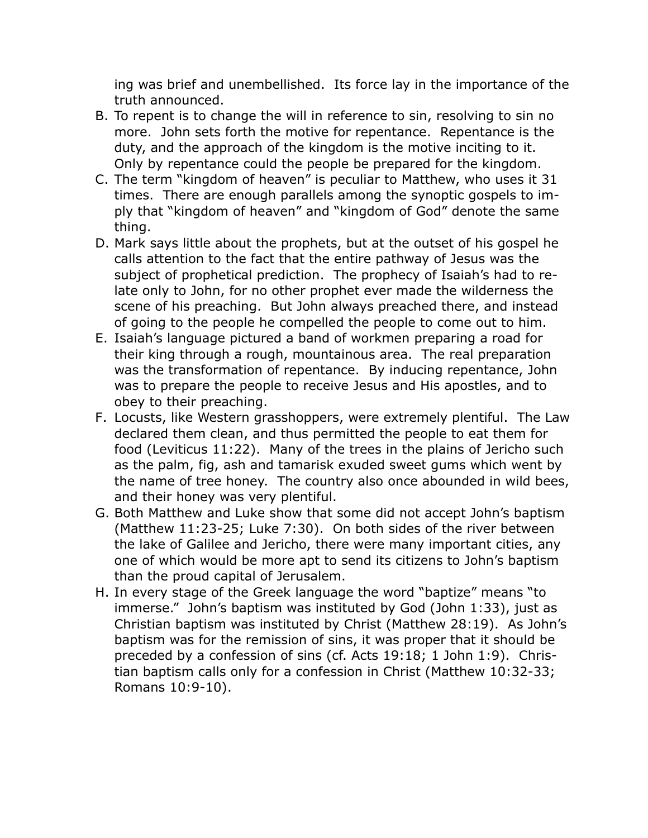ing was brief and unembellished. Its force lay in the importance of the truth announced.

- B. To repent is to change the will in reference to sin, resolving to sin no more. John sets forth the motive for repentance. Repentance is the duty, and the approach of the kingdom is the motive inciting to it. Only by repentance could the people be prepared for the kingdom.
- C. The term "kingdom of heaven" is peculiar to Matthew, who uses it 31 times. There are enough parallels among the synoptic gospels to imply that "kingdom of heaven" and "kingdom of God" denote the same thing.
- D. Mark says little about the prophets, but at the outset of his gospel he calls attention to the fact that the entire pathway of Jesus was the subject of prophetical prediction. The prophecy of Isaiah's had to relate only to John, for no other prophet ever made the wilderness the scene of his preaching. But John always preached there, and instead of going to the people he compelled the people to come out to him.
- E. Isaiah's language pictured a band of workmen preparing a road for their king through a rough, mountainous area. The real preparation was the transformation of repentance. By inducing repentance, John was to prepare the people to receive Jesus and His apostles, and to obey to their preaching.
- F. Locusts, like Western grasshoppers, were extremely plentiful. The Law declared them clean, and thus permitted the people to eat them for food (Leviticus 11:22). Many of the trees in the plains of Jericho such as the palm, fig, ash and tamarisk exuded sweet gums which went by the name of tree honey. The country also once abounded in wild bees, and their honey was very plentiful.
- G. Both Matthew and Luke show that some did not accept John's baptism (Matthew 11:23-25; Luke 7:30). On both sides of the river between the lake of Galilee and Jericho, there were many important cities, any one of which would be more apt to send its citizens to John's baptism than the proud capital of Jerusalem.
- H. In every stage of the Greek language the word "baptize" means "to immerse." John's baptism was instituted by God (John 1:33), just as Christian baptism was instituted by Christ (Matthew 28:19). As John's baptism was for the remission of sins, it was proper that it should be preceded by a confession of sins (cf. Acts 19:18; 1 John 1:9). Christian baptism calls only for a confession in Christ (Matthew 10:32-33; Romans 10:9-10).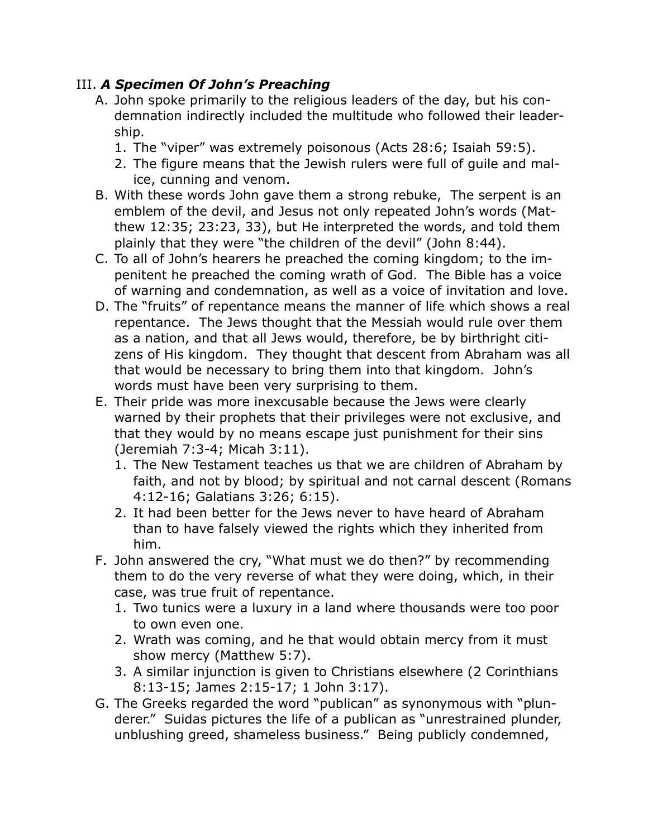### III. *A Specimen Of John's Preaching*

- A. John spoke primarily to the religious leaders of the day, but his condemnation indirectly included the multitude who followed their leadership.
	- 1. The "viper" was extremely poisonous (Acts 28:6; Isaiah 59:5).
	- 2. The figure means that the Jewish rulers were full of guile and malice, cunning and venom.
- B. With these words John gave them a strong rebuke, The serpent is an emblem of the devil, and Jesus not only repeated John's words (Matthew 12:35; 23:23, 33), but He interpreted the words, and told them plainly that they were "the children of the devil" (John 8:44).
- C. To all of John's hearers he preached the coming kingdom; to the impenitent he preached the coming wrath of God. The Bible has a voice of warning and condemnation, as well as a voice of invitation and love.
- D. The "fruits" of repentance means the manner of life which shows a real repentance. The Jews thought that the Messiah would rule over them as a nation, and that all Jews would, therefore, be by birthright citizens of His kingdom. They thought that descent from Abraham was all that would be necessary to bring them into that kingdom. John's words must have been very surprising to them.
- E. Their pride was more inexcusable because the Jews were clearly warned by their prophets that their privileges were not exclusive, and that they would by no means escape just punishment for their sins (Jeremiah 7:3-4; Micah 3:11).
	- 1. The New Testament teaches us that we are children of Abraham by faith, and not by blood; by spiritual and not carnal descent (Romans 4:12-16; Galatians 3:26; 6:15).
	- 2. It had been better for the Jews never to have heard of Abraham than to have falsely viewed the rights which they inherited from him.
- F. John answered the cry, "What must we do then?" by recommending them to do the very reverse of what they were doing, which, in their case, was true fruit of repentance.
	- 1. Two tunics were a luxury in a land where thousands were too poor to own even one.
	- 2. Wrath was coming, and he that would obtain mercy from it must show mercy (Matthew 5:7).
	- 3. A similar injunction is given to Christians elsewhere (2 Corinthians 8:13-15; James 2:15-17; 1 John 3:17).
- G. The Greeks regarded the word "publican" as synonymous with "plunderer." Suidas pictures the life of a publican as "unrestrained plunder, unblushing greed, shameless business." Being publicly condemned,